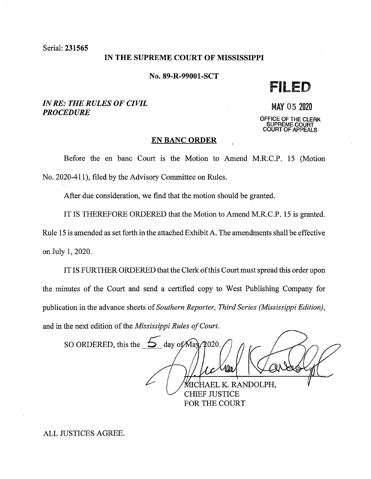Serial: 231565

## IN THE SUPREME COURT OF MISSISSIPPI

No. 89-R-99001-SCT

**FILED** 

# *IN RE: THE RULES OF CIVIL PROCEDURE*

**MAY** 05 2020 **OFFICE OF** THE **CLERK SUPREME COURT COURT OF APPEALS** 

### **EN BANC ORDER**

Before the en bane Court is the Motion to Amend M.R.C.P. 15 (Motion No. 2020-411), filed by the Advisory Committee on Rules.

After due consideration, we find that the motion should be granted.

IT IS THEREFORE ORDERED that the Motion to Amend M.R.C.P. 15 is granted.

Rule 15 is amended as set forth in the attached Exhibit A. The amendments shall be effective on July 1, 2020.

IT IS FURTHER ORDERED that the Clerk of this Court must spread this order upon the minutes of the Court and send a certified copy to West Publishing Company for publication in the advance sheets of *Southern Reporter, Third Series (Mississippi Edition),*  and in the next edition of the *Mississippi Rules of Court.* 

SO ORDERED, this the  $\overline{5}$  day of May  $\triangle$ 020. CHAEL K. RANDOLPH, CHIEF JUSTICE

FOR THE COURT

ALL JUSTICES AGREE.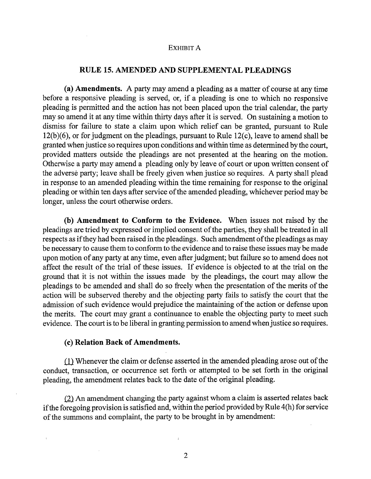#### EXHIBIT A

# **RULE 15. AMENDED AND SUPPLEMENTAL PLEADINGS**

**(a) Amendments.** A party may amend a pleading as a matter of course at any time before a responsive pleading is served, or, if a pleading is one to which no responsive pleading is permitted and the action has not been placed upon the trial calendar, the party may so amend it at any time within thirty days after it is served. On sustaining a motion to dismiss for failure to state a claim upon which relief can be granted, pursuant to Rule 12(b)(6), or for judgment on the pleadings, pursuant to Rule 12(c), leave to amend shall be granted when justice so requires upon conditions and within time as determined by the court, provided matters outside the pleadings are not presented at the hearing on the motion. Otherwise a party may amend a pleading only by leave of court or upon written consent of the adverse party; leave shall be freely given when justice so requires. A party shall plead in response to an amended pleading within the time remaining for response to the original pleading or within ten days after service of the amended pleading, whichever period may be longer, unless the court otherwise orders.

**(b) Amendment to Conform to the Evidence.** When issues not raised by the pleadings are tried by expressed or implied consent of the parties, they shall be treated in all respects as if they had been raised in the pleadings. Such amendment of the pleadings as may be necessary to cause them to conform to the evidence and to raise these issues may be made upon motion of any party at any time, even after judgment; but failure so to amend does not affect the result of the trial of these issues. If evidence is objected to at the trial on the ground that it is not within the issues made by the pleadings, the court may allow the pleadings to be amended and shall do so freely when the presentation of the merits of the action will be subserved thereby and the objecting party fails to satisfy the court that the admission of such evidence would prejudice the maintaining of the action or defense upon the merits. The court may grant a continuance to enable the objecting party to meet such evidence. The court is to be liberal in granting permission to amend when justice so requires.

### ( **c) Relation Back of Amendments.**

 $(1)$  Whenever the claim or defense asserted in the amended pleading arose out of the conduct, transaction, or occurrence set forth or attempted to be set forth in the original pleading, the amendment relates back to the date of the original pleading.

 $(2)$  An amendment changing the party against whom a claim is asserted relates back if the foregoing provision is satisfied and, within the period provided by Rule 4(h) for service of the summons and complaint, the party to be brought in by amendment:

2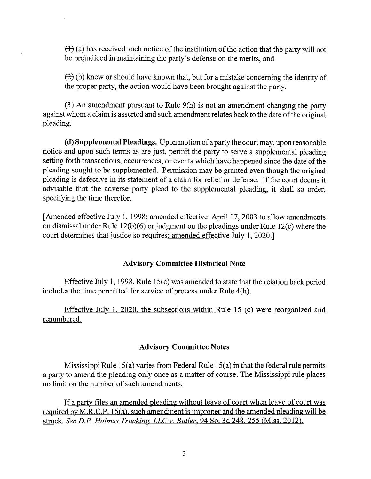$(f)$  (a) has received such notice of the institution of the action that the party will not be prejudiced in maintaining the party's defense on the merits, and

 $f(z)$  (b) knew or should have known that, but for a mistake concerning the identity of the proper party, the action would have been brought against the party.

 $\lambda$ ll An amendment pursuant to Rule 9(h) is not an amendment changing the party against whom a claim is asserted and such amendment relates back to the date of the original pleading.

( **d) Supplemental Pleadings.** Upon motion of a party the court may, upon reasonable notice and upon such terms as are just, permit the party to serve a supplemental pleading setting forth transactions, occurrences, or events which have happened since the date of the pleading sought to be supplemented. Permission may be granted even though the original pleading is defective in its statement of a claim for relief or defense. If the court deems it advisable that the adverse party plead to the supplemental pleading, it shall so order, specifying the time therefor.

[Amended effective July 1, 1998; amended effective April 17, 2003 to allow amendments on dismissal under Rule 12(b)(6) or judgment on the pleadings under Rule 12(c) where the court determines that justice so requires: amended effective July 1, 2020.]

# **Advisory Committee Historical Note**

Effective July 1, 1998, Rule 15(c) was amended to state that the relation back period includes the time permitted for service of process under Rule 4(h).

Effective July 1, 2020, the subsections within Rule 15 (c) were reorganized and renumbered.

## **Advisory Committee Notes**

Mississippi Rule 15(a) varies from Federal Rule 15(a) in that the federal rule permits a party to amend the pleading only once as a matter of course. The Mississippi rule places no limit on the number of such amendments.

If a party files an amended pleading without leave of court when leave of court was required by M.R.C.P. 15(a), such amendment is improper and the amended pleading will be struck. *See D.P. Holmes Trucking, LLC v. Butler*, 94 So. 3d 248, 255 (Miss. 2012).